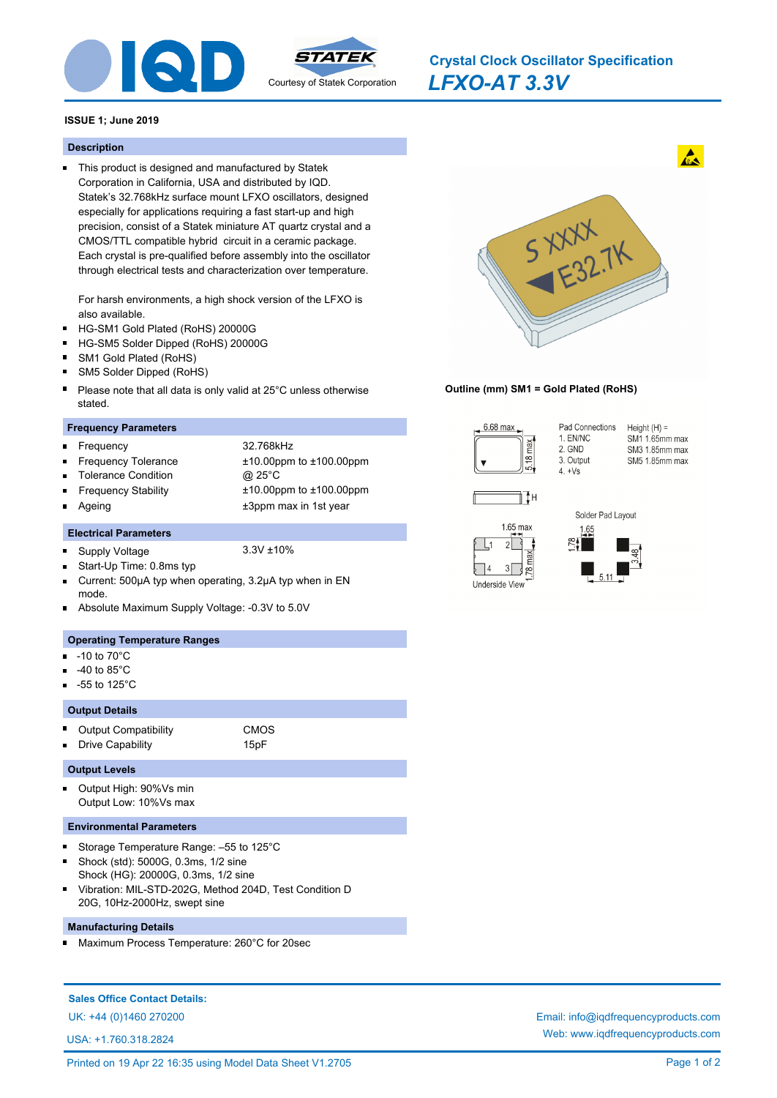

*LFXO-AT 3.3V* **Crystal Clock Oscillator Specification**

## **ISSUE 1; June 2019**

#### **Description**

This product is designed and manufactured by Statek Corporation in California, USA and distributed by IQD. Statek's 32.768kHz surface mount LFXO oscillators, designed especially for applications requiring a fast start-up and high precision, consist of a Statek miniature AT quartz crystal and a CMOS/TTL compatible hybrid circuit in a ceramic package. Each crystal is pre-qualified before assembly into the oscillator through electrical tests and characterization over temperature.

For harsh environments, a high shock version of the LFXO is also available.

- HG-SM1 Gold Plated (RoHS) 20000G  $\blacksquare$
- $\blacksquare$ HG-SM5 Solder Dipped (RoHS) 20000G
- SM1 Gold Plated (RoHS)
- SM5 Solder Dipped (RoHS)
- Please note that all data is only valid at 25°C unless otherwise  $\blacksquare$ stated.

#### **Frequency Parameters**

Frequency 32.768kHz r.

 $\blacksquare$ 

n

- 
- Frequency Tolerance ±10.00ppm to ±100.00ppm Tolerance Condition @ 25°C
	- Frequency Stability ±10.00ppm to ±100.00ppm Ageing the theory of the three states of the three states  $\pm 3$ ppm max in 1st year

# **Electrical Parameters**

- Supply Voltage 3.3V ±10%  $\blacksquare$
- Start-Up Time: 0.8ms typ
- Current: 500µA typ when operating, 3.2µA typ when in EN mode.
- Absolute Maximum Supply Voltage: -0.3V to 5.0V

### **Operating Temperature Ranges**

- -10 to 70°C n
- -40 to 85°C
- -55 to 125°C

## **Output Details**

- $\blacksquare$ Output Compatibility CMOS
	- Drive Capability **15pF**

### **Output Levels**

n.

 $\blacksquare$ Output High: 90%Vs min Output Low: 10%Vs max

#### **Environmental Parameters**

- Storage Temperature Range: –55 to 125°C
- Shock (std): 5000G, 0.3ms, 1/2 sine Shock (HG): 20000G, 0.3ms, 1/2 sine
- Vibration: MIL-STD-202G, Method 204D, Test Condition D 20G, 10Hz-2000Hz, swept sine

## **Manufacturing Details**

Maximum Process Temperature: 260°C for 20sec

## **Sales Office Contact Details:**

USA: +1.760.318.2824



1. EN/NC

3. Output

2. GND

 $4. +Vs$ 

### **Outline (mm) SM1 = Gold Plated (RoHS)**



Pad Connections Height  $(H) =$ 



 $\mathcal{E}$ | ဇ္ဇာ

Underside View



SM1 1.65mm max SM3 1.85mm max SM5 1.85mm max

 $\mathbf{A}$ 



UK: +44 (0)1460 270200 Email: info@iqdfrequencyproducts.com Web: www.iqdfrequencyproducts.com